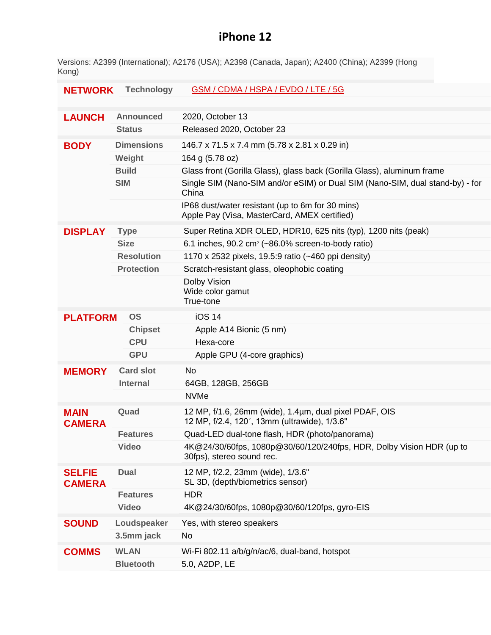## **iPhone 12**

Versions: A2399 (International); A2176 (USA); A2398 (Canada, Japan); A2400 (China); A2399 (Hong Kong)

| <b>NETWORK</b>                 | <b>Technology</b>                 | <b>GSM / CDMA / HSPA / EVDO / LTE / 5G</b>                                                                                              |
|--------------------------------|-----------------------------------|-----------------------------------------------------------------------------------------------------------------------------------------|
| <b>LAUNCH</b>                  | <b>Announced</b><br><b>Status</b> | 2020, October 13<br>Released 2020, October 23                                                                                           |
| <b>BODY</b>                    | <b>Dimensions</b><br>Weight       | 146.7 x 71.5 x 7.4 mm (5.78 x 2.81 x 0.29 in)<br>164 g (5.78 oz)                                                                        |
|                                | <b>Build</b>                      | Glass front (Gorilla Glass), glass back (Gorilla Glass), aluminum frame                                                                 |
|                                | <b>SIM</b>                        | Single SIM (Nano-SIM and/or eSIM) or Dual SIM (Nano-SIM, dual stand-by) - for<br>China                                                  |
|                                |                                   | IP68 dust/water resistant (up to 6m for 30 mins)<br>Apple Pay (Visa, MasterCard, AMEX certified)                                        |
| <b>DISPLAY</b>                 | <b>Type</b><br><b>Size</b>        | Super Retina XDR OLED, HDR10, 625 nits (typ), 1200 nits (peak)<br>6.1 inches, 90.2 cm <sup>2</sup> ( $\sim$ 86.0% screen-to-body ratio) |
|                                | <b>Resolution</b>                 | 1170 x 2532 pixels, 19.5:9 ratio (~460 ppi density)                                                                                     |
|                                | <b>Protection</b>                 | Scratch-resistant glass, oleophobic coating                                                                                             |
|                                |                                   | Dolby Vision<br>Wide color gamut<br>True-tone                                                                                           |
| <b>OS</b><br><b>PLATFORM</b>   |                                   | <b>iOS 14</b>                                                                                                                           |
|                                | <b>Chipset</b>                    | Apple A14 Bionic (5 nm)                                                                                                                 |
|                                | <b>CPU</b>                        | Hexa-core                                                                                                                               |
|                                | <b>GPU</b>                        | Apple GPU (4-core graphics)                                                                                                             |
| <b>MEMORY</b>                  | <b>Card slot</b>                  | <b>No</b>                                                                                                                               |
|                                | <b>Internal</b>                   | 64GB, 128GB, 256GB                                                                                                                      |
|                                |                                   | <b>NVMe</b>                                                                                                                             |
| <b>MAIN</b><br><b>CAMERA</b>   | Quad                              | 12 MP, f/1.6, 26mm (wide), 1.4µm, dual pixel PDAF, OIS<br>12 MP, f/2.4, 120°, 13mm (ultrawide), 1/3.6"                                  |
|                                | <b>Features</b>                   | Quad-LED dual-tone flash, HDR (photo/panorama)                                                                                          |
|                                | <b>Video</b>                      | 4K@24/30/60fps, 1080p@30/60/120/240fps, HDR, Dolby Vision HDR (up to<br>30fps), stereo sound rec.                                       |
| <b>SELFIE</b><br><b>CAMERA</b> | <b>Dual</b>                       | 12 MP, f/2.2, 23mm (wide), 1/3.6"<br>SL 3D, (depth/biometrics sensor)                                                                   |
|                                | <b>Features</b>                   | <b>HDR</b>                                                                                                                              |
|                                | <b>Video</b>                      | 4K@24/30/60fps, 1080p@30/60/120fps, gyro-EIS                                                                                            |
| <b>SOUND</b>                   | Loudspeaker                       | Yes, with stereo speakers                                                                                                               |
|                                | 3.5mm jack                        | No                                                                                                                                      |
| <b>COMMS</b>                   | <b>WLAN</b>                       | Wi-Fi 802.11 a/b/g/n/ac/6, dual-band, hotspot                                                                                           |
|                                | <b>Bluetooth</b>                  | 5.0, A2DP, LE                                                                                                                           |